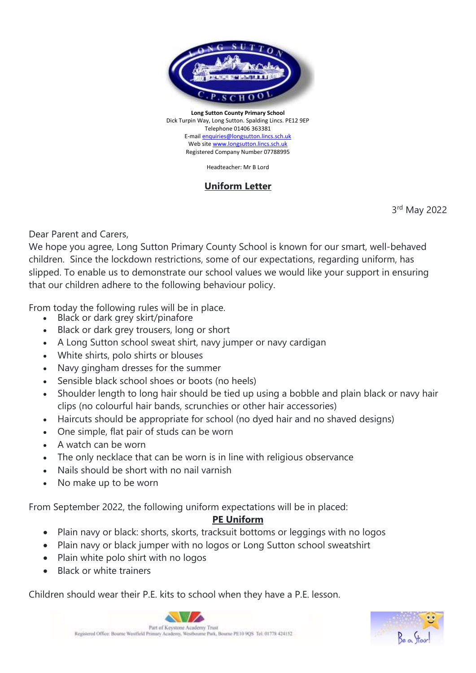

**Long Sutton County Primary School** Dick Turpin Way, Long Sutton. Spalding Lincs. PE12 9EP Telephone 01406 363381 E-mai[l enquiries@longsutton.lincs.sch.uk](mailto:enquiries@longsutton.lincs.sch.uk) Web sit[e www.longsutton.lincs.sch.uk](http://www.longsutton.lincs.sch.uk/) Registered Company Number 07788995

Headteacher: Mr B Lord

## **Uniform Letter**

3 rd May 2022

Dear Parent and Carers,

We hope you agree, Long Sutton Primary County School is known for our smart, well-behaved children. Since the lockdown restrictions, some of our expectations, regarding uniform, has slipped. To enable us to demonstrate our school values we would like your support in ensuring that our children adhere to the following behaviour policy.

From today the following rules will be in place.

- Black or dark grey skirt/pinafore
- Black or dark grey trousers, long or short
- A Long Sutton school sweat shirt, navy jumper or navy cardigan
- White shirts, polo shirts or blouses
- Navy gingham dresses for the summer
- Sensible black school shoes or boots (no heels)
- Shoulder length to long hair should be tied up using a bobble and plain black or navy hair clips (no colourful hair bands, scrunchies or other hair accessories)
- Haircuts should be appropriate for school (no dyed hair and no shaved designs)
- One simple, flat pair of studs can be worn
- A watch can be worn
- The only necklace that can be worn is in line with religious observance
- Nails should be short with no nail varnish
- No make up to be worn

From September 2022, the following uniform expectations will be in placed:

## **PE Uniform**

- Plain navy or black: shorts, skorts, tracksuit bottoms or leggings with no logos
- Plain navy or black jumper with no logos or Long Sutton school sweatshirt
- Plain white polo shirt with no logos
- Black or white trainers

Children should wear their P.E. kits to school when they have a P.E. lesson.